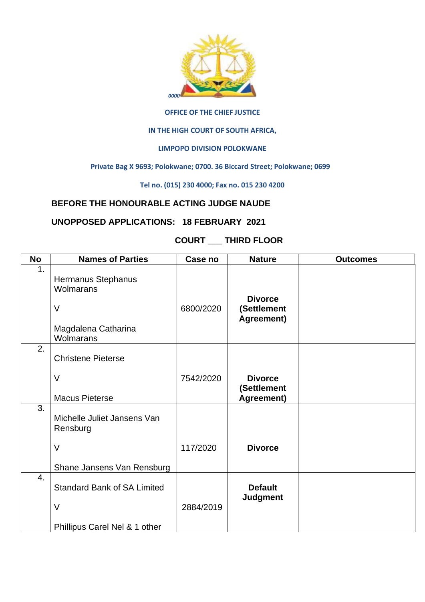

#### **OFFICE OF THE CHIEF JUSTICE**

#### **IN THE HIGH COURT OF SOUTH AFRICA,**

### **LIMPOPO DIVISION POLOKWANE**

#### **Private Bag X 9693; Polokwane; 0700. 36 Biccard Street; Polokwane; 0699**

#### **Tel no. (015) 230 4000; Fax no. 015 230 4200**

# **BEFORE THE HONOURABLE ACTING JUDGE NAUDE**

## **UNOPPOSED APPLICATIONS: 18 FEBRUARY 2021**

# **COURT \_\_\_ THIRD FLOOR**

| <b>No</b>        | <b>Names of Parties</b>                                                              | Case no   | <b>Nature</b>                               | <b>Outcomes</b> |
|------------------|--------------------------------------------------------------------------------------|-----------|---------------------------------------------|-----------------|
| 1.               | Hermanus Stephanus<br><b>Wolmarans</b><br>$\vee$<br>Magdalena Catharina<br>Wolmarans | 6800/2020 | <b>Divorce</b><br>(Settlement<br>Agreement) |                 |
| 2.               | <b>Christene Pieterse</b><br>V<br><b>Macus Pieterse</b>                              | 7542/2020 | <b>Divorce</b><br>(Settlement<br>Agreement) |                 |
| 3.               | Michelle Juliet Jansens Van<br>Rensburg<br>$\vee$<br>Shane Jansens Van Rensburg      | 117/2020  | <b>Divorce</b>                              |                 |
| $\overline{4}$ . | <b>Standard Bank of SA Limited</b><br>V<br>Phillipus Carel Nel & 1 other             | 2884/2019 | <b>Default</b><br><b>Judgment</b>           |                 |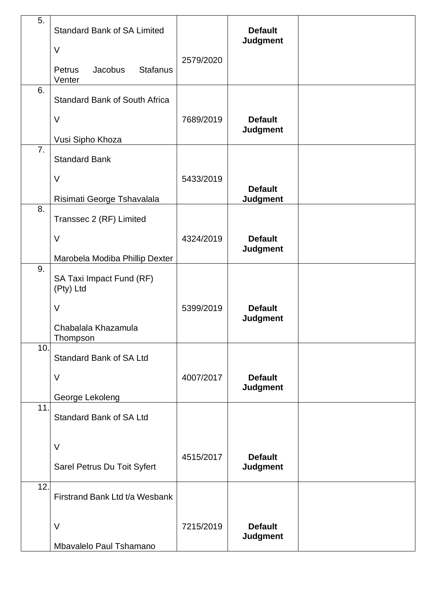| 5.  | <b>Standard Bank of SA Limited</b>             |           | <b>Default</b><br><b>Judgment</b> |  |
|-----|------------------------------------------------|-----------|-----------------------------------|--|
|     | $\vee$                                         | 2579/2020 |                                   |  |
|     | <b>Stafanus</b><br>Jacobus<br>Petrus<br>Venter |           |                                   |  |
| 6.  | <b>Standard Bank of South Africa</b>           |           |                                   |  |
|     | $\vee$                                         | 7689/2019 | <b>Default</b><br><b>Judgment</b> |  |
|     | Vusi Sipho Khoza                               |           |                                   |  |
| 7.  | <b>Standard Bank</b>                           |           |                                   |  |
|     | $\vee$                                         | 5433/2019 |                                   |  |
|     |                                                |           | <b>Default</b>                    |  |
| 8.  | Risimati George Tshavalala                     |           | <b>Judgment</b>                   |  |
|     | Transsec 2 (RF) Limited                        |           |                                   |  |
|     | $\vee$                                         | 4324/2019 | <b>Default</b><br><b>Judgment</b> |  |
|     | Marobela Modiba Phillip Dexter                 |           |                                   |  |
| 9.  | SA Taxi Impact Fund (RF)<br>(Pty) Ltd          |           |                                   |  |
|     | $\vee$                                         | 5399/2019 | <b>Default</b>                    |  |
|     | Chabalala Khazamula<br>Thompson                |           | <b>Judgment</b>                   |  |
| 10. | <b>Standard Bank of SA Ltd</b>                 |           |                                   |  |
|     | $\vee$                                         | 4007/2017 | <b>Default</b><br><b>Judgment</b> |  |
|     | George Lekoleng                                |           |                                   |  |
| 11. | <b>Standard Bank of SA Ltd</b>                 |           |                                   |  |
|     | $\vee$                                         |           |                                   |  |
|     | Sarel Petrus Du Toit Syfert                    | 4515/2017 | <b>Default</b><br><b>Judgment</b> |  |
| 12. | Firstrand Bank Ltd t/a Wesbank                 |           |                                   |  |
|     |                                                |           |                                   |  |
|     | $\vee$                                         | 7215/2019 | <b>Default</b><br><b>Judgment</b> |  |
|     | Mbavalelo Paul Tshamano                        |           |                                   |  |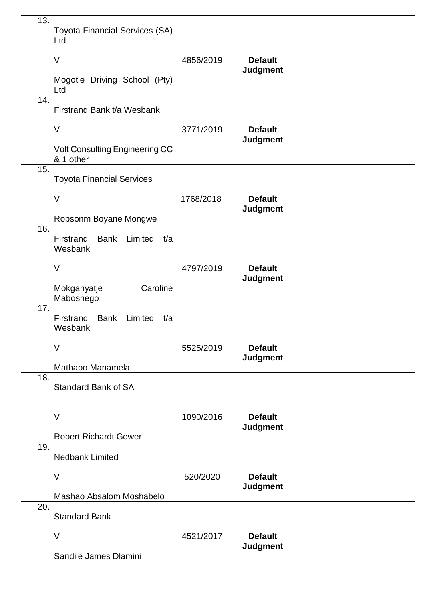| 13. | <b>Toyota Financial Services (SA)</b>                 |           |                                   |  |
|-----|-------------------------------------------------------|-----------|-----------------------------------|--|
|     | Ltd                                                   |           |                                   |  |
|     | $\vee$                                                | 4856/2019 | <b>Default</b><br><b>Judgment</b> |  |
|     | Mogotle Driving School (Pty)<br>Ltd                   |           |                                   |  |
| 14. | Firstrand Bank t/a Wesbank                            |           |                                   |  |
|     | $\vee$                                                | 3771/2019 | <b>Default</b>                    |  |
|     | Volt Consulting Engineering CC<br>& 1 other           |           | <b>Judgment</b>                   |  |
| 15. | <b>Toyota Financial Services</b>                      |           |                                   |  |
|     | $\vee$                                                | 1768/2018 | <b>Default</b><br><b>Judgment</b> |  |
| 16. | Robsonm Boyane Mongwe                                 |           |                                   |  |
|     | Firstrand<br><b>Bank</b><br>Limited<br>t/a<br>Wesbank |           |                                   |  |
|     | V                                                     | 4797/2019 | <b>Default</b>                    |  |
|     | Caroline<br>Mokganyatje<br>Maboshego                  |           | <b>Judgment</b>                   |  |
| 17. | Firstrand<br><b>Bank</b><br>Limited<br>t/a<br>Wesbank |           |                                   |  |
|     | $\vee$                                                | 5525/2019 | <b>Default</b><br><b>Judgment</b> |  |
| 18. | Mathabo Manamela                                      |           |                                   |  |
|     | <b>Standard Bank of SA</b>                            |           |                                   |  |
|     | $\vee$                                                | 1090/2016 | <b>Default</b>                    |  |
|     | <b>Robert Richardt Gower</b>                          |           | <b>Judgment</b>                   |  |
| 19. | <b>Nedbank Limited</b>                                |           |                                   |  |
|     | $\vee$                                                | 520/2020  | <b>Default</b>                    |  |
|     | Mashao Absalom Moshabelo                              |           | <b>Judgment</b>                   |  |
| 20. | <b>Standard Bank</b>                                  |           |                                   |  |
|     | $\vee$                                                | 4521/2017 | <b>Default</b>                    |  |
|     | Sandile James Dlamini                                 |           | <b>Judgment</b>                   |  |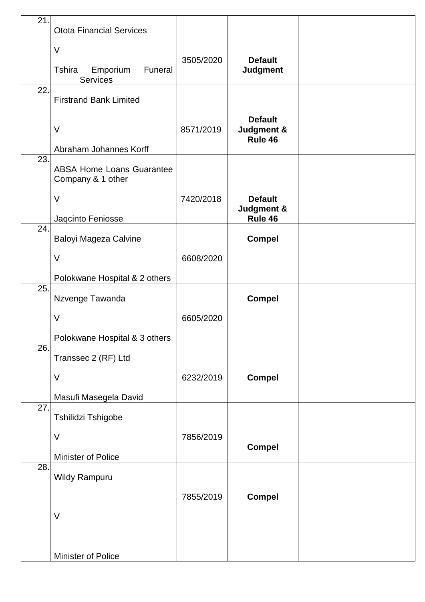| 21. | <b>Otota Financial Services</b>                         |           |                                         |  |
|-----|---------------------------------------------------------|-----------|-----------------------------------------|--|
|     | $\vee$                                                  |           |                                         |  |
|     | <b>Tshira</b><br>Emporium<br>Funeral<br><b>Services</b> | 3505/2020 | <b>Default</b><br><b>Judgment</b>       |  |
| 22. | <b>Firstrand Bank Limited</b>                           |           |                                         |  |
|     | $\vee$                                                  | 8571/2019 | <b>Default</b><br>Judgment &<br>Rule 46 |  |
| 23. | Abraham Johannes Korff                                  |           |                                         |  |
|     | <b>ABSA Home Loans Guarantee</b><br>Company & 1 other   |           |                                         |  |
|     | $\vee$                                                  | 7420/2018 | <b>Default</b>                          |  |
|     | Jaqcinto Feniosse                                       |           | Judgment &<br>Rule 46                   |  |
| 24. | Baloyi Mageza Calvine                                   |           | <b>Compel</b>                           |  |
|     | $\vee$                                                  | 6608/2020 |                                         |  |
|     | Polokwane Hospital & 2 others                           |           |                                         |  |
| 25. | Nzvenge Tawanda                                         |           | <b>Compel</b>                           |  |
|     | $\vee$                                                  | 6605/2020 |                                         |  |
|     | Polokwane Hospital & 3 others                           |           |                                         |  |
| 26. | Transsec 2 (RF) Ltd                                     |           |                                         |  |
|     | $\vee$                                                  | 6232/2019 | <b>Compel</b>                           |  |
|     | Masufi Masegela David                                   |           |                                         |  |
| 27. | Tshilidzi Tshigobe                                      |           |                                         |  |
|     | $\vee$                                                  | 7856/2019 |                                         |  |
|     | Minister of Police                                      |           | <b>Compel</b>                           |  |
| 28. | <b>Wildy Rampuru</b>                                    |           |                                         |  |
|     |                                                         |           |                                         |  |
|     |                                                         | 7855/2019 | <b>Compel</b>                           |  |
|     | $\vee$                                                  |           |                                         |  |
|     |                                                         |           |                                         |  |
|     | Minister of Police                                      |           |                                         |  |